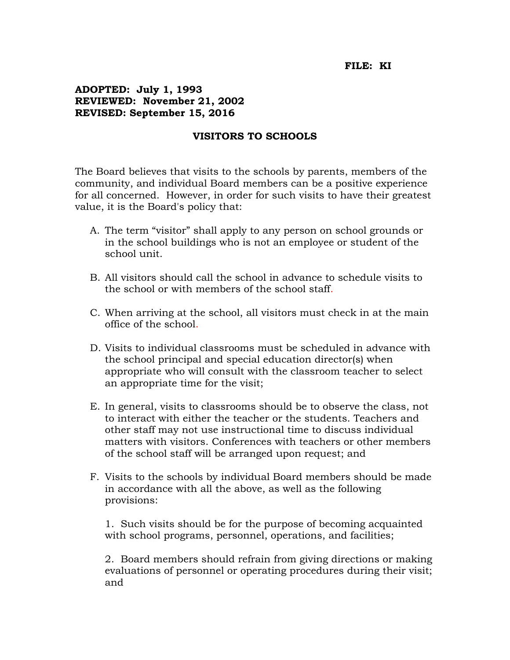## **FILE: KI**

## **ADOPTED: July 1, 1993 REVIEWED: November 21, 2002 REVISED: September 15, 2016**

## **VISITORS TO SCHOOLS**

The Board believes that visits to the schools by parents, members of the community, and individual Board members can be a positive experience for all concerned. However, in order for such visits to have their greatest value, it is the Board's policy that:

- A. The term "visitor" shall apply to any person on school grounds or in the school buildings who is not an employee or student of the school unit.
- B. All visitors should call the school in advance to schedule visits to the school or with members of the school staff.
- C. When arriving at the school, all visitors must check in at the main office of the school.
- D. Visits to individual classrooms must be scheduled in advance with the school principal and special education director(s) when appropriate who will consult with the classroom teacher to select an appropriate time for the visit;
- E. In general, visits to classrooms should be to observe the class, not to interact with either the teacher or the students. Teachers and other staff may not use instructional time to discuss individual matters with visitors. Conferences with teachers or other members of the school staff will be arranged upon request; and
- F. Visits to the schools by individual Board members should be made in accordance with all the above, as well as the following provisions:

1. Such visits should be for the purpose of becoming acquainted with school programs, personnel, operations, and facilities;

2. Board members should refrain from giving directions or making evaluations of personnel or operating procedures during their visit; and